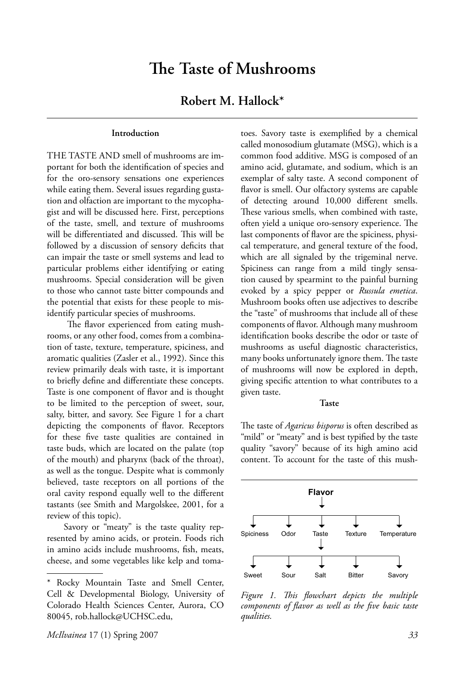# **The Taste of Mushrooms**

## **Robert M. Hallock\***

#### **Introduction**

THE TASTE AND smell of mushrooms are important for both the identification of species and for the oro-sensory sensations one experiences while eating them. Several issues regarding gustation and olfaction are important to the mycophagist and will be discussed here. First, perceptions of the taste, smell, and texture of mushrooms will be differentiated and discussed. This will be followed by a discussion of sensory deficits that can impair the taste or smell systems and lead to particular problems either identifying or eating mushrooms. Special consideration will be given to those who cannot taste bitter compounds and the potential that exists for these people to misidentify particular species of mushrooms.

The flavor experienced from eating mushrooms, or any other food, comes from a combination of taste, texture, temperature, spiciness, and aromatic qualities (Zasler et al., 1992). Since this review primarily deals with taste, it is important to briefly define and differentiate these concepts. Taste is one component of flavor and is thought to be limited to the perception of sweet, sour, salty, bitter, and savory. See Figure 1 for a chart depicting the components of flavor. Receptors for these five taste qualities are contained in taste buds, which are located on the palate (top of the mouth) and pharynx (back of the throat), as well as the tongue. Despite what is commonly believed, taste receptors on all portions of the oral cavity respond equally well to the different tastants (see Smith and Margolskee, 2001, for a review of this topic).

 Savory or "meaty" is the taste quality represented by amino acids, or protein. Foods rich in amino acids include mushrooms, fish, meats, cheese, and some vegetables like kelp and tomatoes. Savory taste is exemplified by a chemical called monosodium glutamate (MSG), which is a common food additive. MSG is composed of an amino acid, glutamate, and sodium, which is an exemplar of salty taste. A second component of flavor is smell. Our olfactory systems are capable of detecting around 10,000 different smells. These various smells, when combined with taste, often yield a unique oro-sensory experience. The last components of flavor are the spiciness, physical temperature, and general texture of the food, which are all signaled by the trigeminal nerve. Spiciness can range from a mild tingly sensation caused by spearmint to the painful burning evoked by a spicy pepper or *Russula emetica*. Mushroom books often use adjectives to describe the "taste" of mushrooms that include all of these components of flavor. Although many mushroom identification books describe the odor or taste of mushrooms as useful diagnostic characteristics, many books unfortunately ignore them. The taste of mushrooms will now be explored in depth, giving specific attention to what contributes to a given taste.

#### **Taste**

The taste of *Agaricus bisporus* is often described as "mild" or "meaty" and is best typified by the taste quality "savory" because of its high amino acid content. To account for the taste of this mush-



Figure 1. This flowchart depicts the multiple components of flavor as well as the five basic taste *qualities.*

<sup>\*</sup> Rocky Mountain Taste and Smell Center, Cell & Developmental Biology, University of Colorado Health Sciences Center, Aurora, CO 80045, rob.hallock@UCHSC.edu,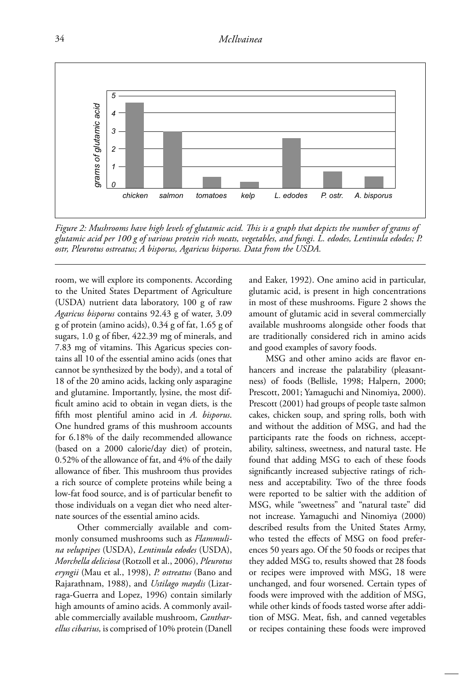

*Figure 2: Mushrooms have high levels of glutamic acid. This is a graph that depicts the number of grams of glutamic acid per 100 g of various protein rich meats, vegetables, and fungi. L. edodes, Lentinula edodes; P.* 

room, we will explore its components. According to the United States Department of Agriculture (USDA) nutrient data laboratory, 100 g of raw *Agaricus bisporus* contains 92.43 g of water, 3.09 g of protein (amino acids), 0.34 g of fat, 1.65 g of sugars,  $1.0$  g of fiber,  $422.39$  mg of minerals, and 7.83 mg of vitamins. This Agaricus species contains all 10 of the essential amino acids (ones that cannot be synthesized by the body), and a total of 18 of the 20 amino acids, lacking only asparagine and glutamine. Importantly, lysine, the most difficult amino acid to obtain in vegan diets, is the fifth most plentiful amino acid in *A. bisporus*. One hundred grams of this mushroom accounts for 6.18% of the daily recommended allowance (based on a 2000 calorie/day diet) of protein, 0.52% of the allowance of fat, and 4% of the daily allowance of fiber. This mushroom thus provides a rich source of complete proteins while being a low-fat food source, and is of particular benefit to those individuals on a vegan diet who need alternate sources of the essential amino acids.

 Other commercially available and commonly consumed mushrooms such as *Flammulina veluptipes* (USDA), *Lentinula edodes* (USDA), *Morchella deliciosa* (Rotzoll et al., 2006), *Pleurotus eryngii* (Mau et al., 1998), *P. ostreatus* (Bano and Rajarathnam, 1988), and *Ustilago maydis* (Lizarraga-Guerra and Lopez, 1996) contain similarly high amounts of amino acids. A commonly available commercially available mushroom, *Cantharellus cibarius,* is comprised of 10% protein (Danell and Eaker, 1992). One amino acid in particular, glutamic acid, is present in high concentrations in most of these mushrooms. Figure 2 shows the amount of glutamic acid in several commercially available mushrooms alongside other foods that are traditionally considered rich in amino acids and good examples of savory foods.

MSG and other amino acids are flavor enhancers and increase the palatability (pleasantness) of foods (Bellisle, 1998; Halpern, 2000; Prescott, 2001; Yamaguchi and Ninomiya, 2000). Prescott (2001) had groups of people taste salmon cakes, chicken soup, and spring rolls, both with and without the addition of MSG, and had the participants rate the foods on richness, acceptability, saltiness, sweetness, and natural taste. He found that adding MSG to each of these foods significantly increased subjective ratings of richness and acceptability. Two of the three foods were reported to be saltier with the addition of MSG, while "sweetness" and "natural taste" did not increase. Yamaguchi and Ninomiya (2000) described results from the United States Army, who tested the effects of MSG on food preferences 50 years ago. Of the 50 foods or recipes that they added MSG to, results showed that 28 foods or recipes were improved with MSG, 18 were unchanged, and four worsened. Certain types of foods were improved with the addition of MSG, while other kinds of foods tasted worse after addition of MSG. Meat, fish, and canned vegetables or recipes containing these foods were improved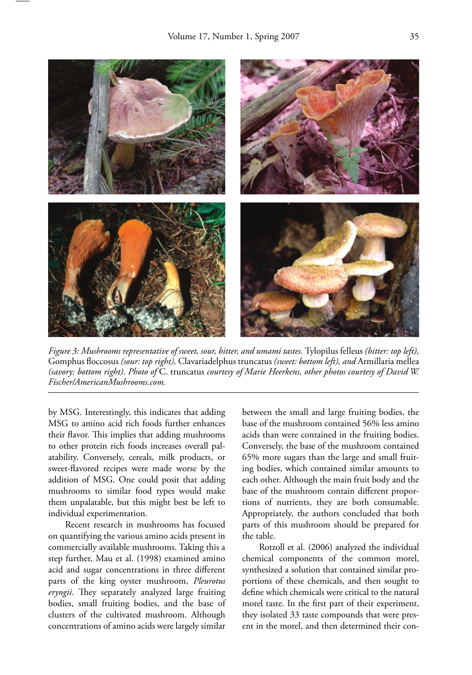

*Figure 3: Mushrooms representative of sweet, sour, bitter, and umami tastes.* Tylopilus felleus *(bitter: top left),*  Gomphus fl occosus *(sour: top right),* Clavariadelphus truncatus *(sweet: bottom left), and* Armillaria mellea *(savory: bottom right). Photo of* C. truncatus *courtesy of Marie Heerkens, other photos courtesy of David W. Fischer/AmericanMushrooms.com.*

by MSG. Interestingly, this indicates that adding MSG to amino acid rich foods further enhances their flavor. This implies that adding mushrooms to other protein rich foods increases overall palatability. Conversely, cereals, milk products, or sweet-flavored recipes were made worse by the addition of MSG. One could posit that adding mushrooms to similar food types would make them unpalatable, but this might best be left to individual experimentation.

 Recent research in mushrooms has focused on quantifying the various amino acids present in commercially available mushrooms. Taking this a step further, Mau et al. (1998) examined amino acid and sugar concentrations in three different parts of the king oyster mushroom, *Pleurotus*  eryngii. They separately analyzed large fruiting bodies, small fruiting bodies, and the base of clusters of the cultivated mushroom. Although concentrations of amino acids were largely similar

between the small and large fruiting bodies, the base of the mushroom contained 56% less amino acids than were contained in the fruiting bodies. Conversely, the base of the mushroom contained 65% more sugars than the large and small fruiting bodies, which contained similar amounts to each other. Although the main fruit body and the base of the mushroom contain different proportions of nutrients, they are both consumable. Appropriately, the authors concluded that both parts of this mushroom should be prepared for the table.

 Rotzoll et al. (2006) analyzed the individual chemical components of the common morel, synthesized a solution that contained similar proportions of these chemicals, and then sought to define which chemicals were critical to the natural morel taste. In the first part of their experiment, they isolated 33 taste compounds that were present in the morel, and then determined their con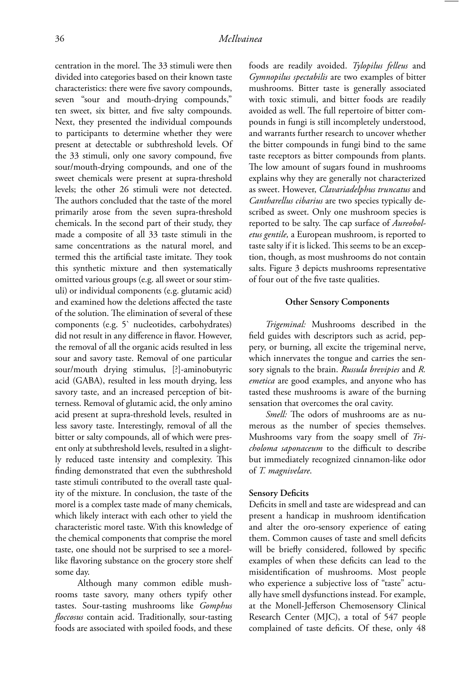centration in the morel. The 33 stimuli were then divided into categories based on their known taste characteristics: there were five savory compounds, seven "sour and mouth-drying compounds," ten sweet, six bitter, and five salty compounds. Next, they presented the individual compounds to participants to determine whether they were present at detectable or subthreshold levels. Of the 33 stimuli, only one savory compound, five sour/mouth-drying compounds, and one of the sweet chemicals were present at supra-threshold levels; the other 26 stimuli were not detected. The authors concluded that the taste of the morel primarily arose from the seven supra-threshold chemicals. In the second part of their study, they made a composite of all 33 taste stimuli in the same concentrations as the natural morel, and termed this the artificial taste imitate. They took this synthetic mixture and then systematically omitted various groups (e.g. all sweet or sour stimuli) or individual components (e.g. glutamic acid) and examined how the deletions affected the taste of the solution. The elimination of several of these components (e.g. 5` nucleotides, carbohydrates) did not result in any difference in flavor. However, the removal of all the organic acids resulted in less sour and savory taste. Removal of one particular sour/mouth drying stimulus, [?]-aminobutyric acid (GABA), resulted in less mouth drying, less savory taste, and an increased perception of bitterness. Removal of glutamic acid, the only amino acid present at supra-threshold levels, resulted in less savory taste. Interestingly, removal of all the bitter or salty compounds, all of which were present only at subthreshold levels, resulted in a slightly reduced taste intensity and complexity. This finding demonstrated that even the subthreshold taste stimuli contributed to the overall taste quality of the mixture. In conclusion, the taste of the morel is a complex taste made of many chemicals, which likely interact with each other to yield the characteristic morel taste. With this knowledge of the chemical components that comprise the morel taste, one should not be surprised to see a morellike flavoring substance on the grocery store shelf some day.

 Although many common edible mushrooms taste savory, many others typify other tastes. Sour-tasting mushrooms like *Gomphus floccosus* contain acid. Traditionally, sour-tasting foods are associated with spoiled foods, and these foods are readily avoided. *Tylopilus felleus* and *Gymnopilus spectabilis* are two examples of bitter mushrooms. Bitter taste is generally associated with toxic stimuli, and bitter foods are readily avoided as well. The full repertoire of bitter compounds in fungi is still incompletely understood, and warrants further research to uncover whether the bitter compounds in fungi bind to the same taste receptors as bitter compounds from plants. The low amount of sugars found in mushrooms explains why they are generally not characterized as sweet. However, *Clavariadelphus truncatus* and *Cantharellus cibarius* are two species typically described as sweet. Only one mushroom species is reported to be salty. The cap surface of *Aureoboletus gentile,* a European mushroom, is reported to taste salty if it is licked. This seems to be an exception, though, as most mushrooms do not contain salts. Figure 3 depicts mushrooms representative of four out of the five taste qualities.

#### **Other Sensory Components**

 *Trigeminal:* Mushrooms described in the field guides with descriptors such as acrid, peppery, or burning, all excite the trigeminal nerve, which innervates the tongue and carries the sensory signals to the brain. *Russula brevipies* and *R. emetica* are good examples, and anyone who has tasted these mushrooms is aware of the burning sensation that overcomes the oral cavity.

*Smell:* The odors of mushrooms are as numerous as the number of species themselves. Mushrooms vary from the soapy smell of *Tricholoma saponaceum* to the difficult to describe but immediately recognized cinnamon-like odor of *T. magnivelare*.

#### **Sensory Deficits**

Deficits in smell and taste are widespread and can present a handicap in mushroom identification and alter the oro-sensory experience of eating them. Common causes of taste and smell deficits will be briefly considered, followed by specific examples of when these deficits can lead to the misidentification of mushrooms. Most people who experience a subjective loss of "taste" actually have smell dysfunctions instead. For example, at the Monell-Jefferson Chemosensory Clinical Research Center (MJC), a total of 547 people complained of taste deficits. Of these, only 48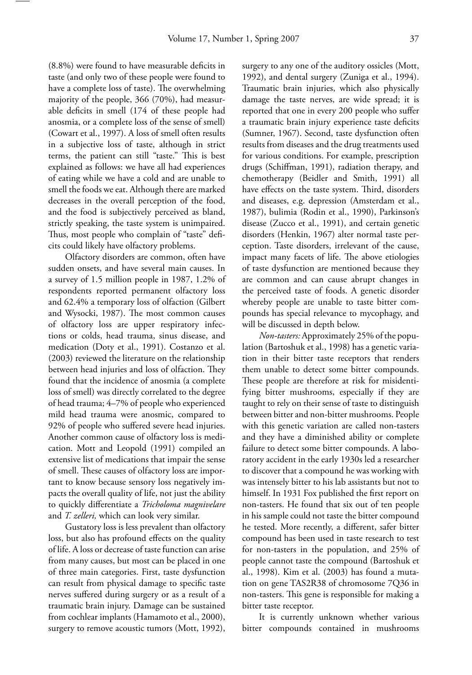$(8.8\%)$  were found to have measurable deficits in taste (and only two of these people were found to have a complete loss of taste). The overwhelming majority of the people, 366 (70%), had measurable deficits in smell (174 of these people had anosmia, or a complete loss of the sense of smell) (Cowart et al., 1997). A loss of smell often results in a subjective loss of taste, although in strict terms, the patient can still "taste." This is best explained as follows: we have all had experiences of eating while we have a cold and are unable to smell the foods we eat. Although there are marked decreases in the overall perception of the food, and the food is subjectively perceived as bland, strictly speaking, the taste system is unimpaired. Thus, most people who complain of "taste" deficits could likely have olfactory problems.

 Olfactory disorders are common, often have sudden onsets, and have several main causes. In a survey of 1.5 million people in 1987, 1.2% of respondents reported permanent olfactory loss and 62.4% a temporary loss of olfaction (Gilbert and Wysocki, 1987). The most common causes of olfactory loss are upper respiratory infections or colds, head trauma, sinus disease, and medication (Doty et al., 1991). Costanzo et al. (2003) reviewed the literature on the relationship between head injuries and loss of olfaction. They found that the incidence of anosmia (a complete loss of smell) was directly correlated to the degree of head trauma; 4–7% of people who experienced mild head trauma were anosmic, compared to 92% of people who suffered severe head injuries. Another common cause of olfactory loss is medication. Mott and Leopold (1991) compiled an extensive list of medications that impair the sense of smell. These causes of olfactory loss are important to know because sensory loss negatively impacts the overall quality of life, not just the ability to quickly diff erentiate a *Tricholoma magnivelare* and *T. zelleri,* which can look very similar.

 Gustatory loss is less prevalent than olfactory loss, but also has profound effects on the quality of life. A loss or decrease of taste function can arise from many causes, but most can be placed in one of three main categories. First, taste dysfunction can result from physical damage to specific taste nerves suffered during surgery or as a result of a traumatic brain injury. Damage can be sustained from cochlear implants (Hamamoto et al., 2000), surgery to remove acoustic tumors (Mott, 1992),

surgery to any one of the auditory ossicles (Mott, 1992), and dental surgery (Zuniga et al., 1994). Traumatic brain injuries, which also physically damage the taste nerves, are wide spread; it is reported that one in every 200 people who suffer a traumatic brain injury experience taste deficits (Sumner, 1967). Second, taste dysfunction often results from diseases and the drug treatments used for various conditions. For example, prescription drugs (Schiffman, 1991), radiation therapy, and chemotherapy (Beidler and Smith, 1991) all have effects on the taste system. Third, disorders and diseases, e.g. depression (Amsterdam et al., 1987), bulimia (Rodin et al., 1990), Parkinson's disease (Zucco et al., 1991), and certain genetic disorders (Henkin, 1967) alter normal taste perception. Taste disorders, irrelevant of the cause, impact many facets of life. The above etiologies of taste dysfunction are mentioned because they are common and can cause abrupt changes in the perceived taste of foods. A genetic disorder whereby people are unable to taste bitter compounds has special relevance to mycophagy, and will be discussed in depth below.

 *Non-tasters:* Approximately 25% of the population (Bartoshuk et al., 1998) has a genetic variation in their bitter taste receptors that renders them unable to detect some bitter compounds. These people are therefore at risk for misidentifying bitter mushrooms, especially if they are taught to rely on their sense of taste to distinguish between bitter and non-bitter mushrooms. People with this genetic variation are called non-tasters and they have a diminished ability or complete failure to detect some bitter compounds. A laboratory accident in the early 1930s led a researcher to discover that a compound he was working with was intensely bitter to his lab assistants but not to himself. In 1931 Fox published the first report on non-tasters. He found that six out of ten people in his sample could not taste the bitter compound he tested. More recently, a different, safer bitter compound has been used in taste research to test for non-tasters in the population, and 25% of people cannot taste the compound (Bartoshuk et al., 1998). Kim et al. (2003) has found a mutation on gene TAS2R38 of chromosome 7Q36 in non-tasters. This gene is responsible for making a bitter taste receptor.

 It is currently unknown whether various bitter compounds contained in mushrooms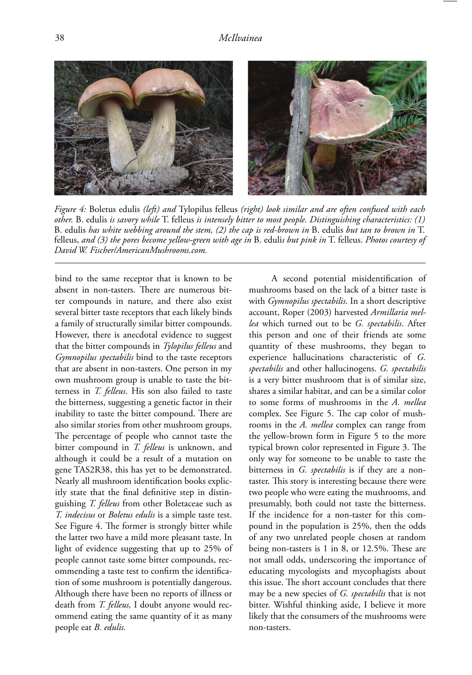

*Figure 4:* Boletus edulis *(left) and* Tylopilus felleus *(right) look similar and are often confused with each other.* B. edulis *is savory while* T. felleus *is intensely bitter to most people. Distinguishing characteristics: (1)*  B. edulis *has white webbing around the stem, (2) the cap is red-brown in* B. edulis *but tan to brown in* T. felleus, *and (3) the pores become yellow-green with age in* B. eduli*s but pink in* T. felleus. *Photos courtesy of David W. Fischer/AmericanMushrooms.com.*

bind to the same receptor that is known to be absent in non-tasters. There are numerous bitter compounds in nature, and there also exist several bitter taste receptors that each likely binds a family of structurally similar bitter compounds. However, there is anecdotal evidence to suggest that the bitter compounds in *Tylopilus felleus* and *Gymnopilus spectabilis* bind to the taste receptors that are absent in non-tasters. One person in my own mushroom group is unable to taste the bitterness in *T. felleus*. His son also failed to taste the bitterness, suggesting a genetic factor in their inability to taste the bitter compound. There are also similar stories from other mushroom groups. The percentage of people who cannot taste the bitter compound in *T. felleus* is unknown, and although it could be a result of a mutation on gene TAS2R38, this has yet to be demonstrated. Nearly all mushroom identification books explicitly state that the final definitive step in distinguishing *T. felleus* from other Boletaceae such as *T. indecisus* or *Boletus edulis* is a simple taste test. See Figure 4. The former is strongly bitter while the latter two have a mild more pleasant taste. In light of evidence suggesting that up to 25% of people cannot taste some bitter compounds, recommending a taste test to confirm the identification of some mushroom is potentially dangerous. Although there have been no reports of illness or death from *T. felleus,* I doubt anyone would recommend eating the same quantity of it as many people eat *B. edulis.*

A second potential misidentification of mushrooms based on the lack of a bitter taste is with *Gymnopilus spectabilis*. In a short descriptive account, Roper (2003) harvested *Armillaria mellea* which turned out to be *G. spectabilis*. After this person and one of their friends ate some quantity of these mushrooms, they began to experience hallucinations characteristic of *G. spectabilis* and other hallucinogens. *G. spectabilis* is a very bitter mushroom that is of similar size, shares a similar habitat, and can be a similar color to some forms of mushrooms in the *A. mellea*  complex. See Figure 5. The cap color of mushrooms in the *A. mellea* complex can range from the yellow-brown form in Figure 5 to the more typical brown color represented in Figure 3. The only way for someone to be unable to taste the bitterness in *G. spectabilis* is if they are a nontaster. This story is interesting because there were two people who were eating the mushrooms, and presumably, both could not taste the bitterness. If the incidence for a non-taster for this compound in the population is 25%, then the odds of any two unrelated people chosen at random being non-tasters is  $1$  in  $8$ , or  $12.5\%$ . These are not small odds, underscoring the importance of educating mycologists and mycophagists about this issue. The short account concludes that there may be a new species of *G. spectabilis* that is not bitter. Wishful thinking aside, I believe it more likely that the consumers of the mushrooms were non-tasters.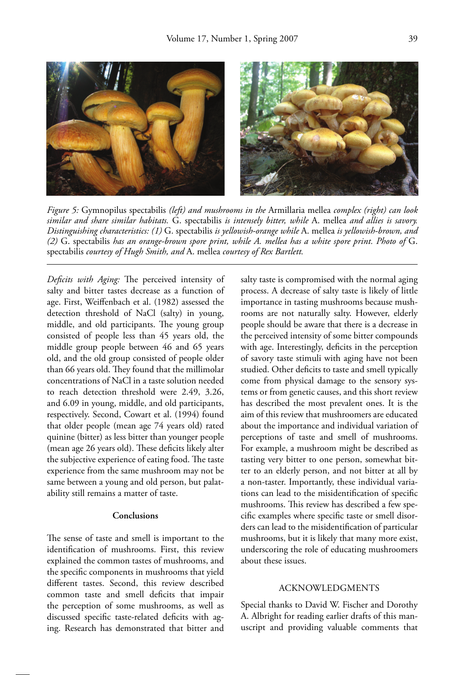

*Figure 5:* Gymnopilus spectabilis *(left) and mushrooms in the* Armillaria mellea *complex (right) can look similar and share similar habitats.* G. spectabilis *is intensely bitter, while* A. mellea *and allies is savory. Distinguishing characteristics: (1)* G. spectabilis *is yellowish-orange while* A. mellea *is yellowish-brown, and (2)* G. spectabilis *has an orange-brown spore print, while A. mellea has a white spore print. Photo of* G. spectabilis *courtesy of Hugh Smith, and* A. mellea *courtesy of Rex Bartlett.* 

Deficits with Aging: The perceived intensity of salty and bitter tastes decrease as a function of age. First, Weiffenbach et al. (1982) assessed the detection threshold of NaCl (salty) in young, middle, and old participants. The young group consisted of people less than 45 years old, the middle group people between 46 and 65 years old, and the old group consisted of people older than 66 years old. They found that the millimolar concentrations of NaCl in a taste solution needed to reach detection threshold were 2.49, 3.26, and 6.09 in young, middle, and old participants, respectively. Second, Cowart et al. (1994) found that older people (mean age 74 years old) rated quinine (bitter) as less bitter than younger people (mean age 26 years old). These deficits likely alter the subjective experience of eating food. The taste experience from the same mushroom may not be same between a young and old person, but palatability still remains a matter of taste.

#### **Conclusions**

The sense of taste and smell is important to the identification of mushrooms. First, this review explained the common tastes of mushrooms, and the specific components in mushrooms that yield different tastes. Second, this review described common taste and smell deficits that impair the perception of some mushrooms, as well as discussed specific taste-related deficits with aging. Research has demonstrated that bitter and salty taste is compromised with the normal aging process. A decrease of salty taste is likely of little importance in tasting mushrooms because mushrooms are not naturally salty. However, elderly people should be aware that there is a decrease in the perceived intensity of some bitter compounds with age. Interestingly, deficits in the perception of savory taste stimuli with aging have not been studied. Other deficits to taste and smell typically come from physical damage to the sensory systems or from genetic causes, and this short review has described the most prevalent ones. It is the aim of this review that mushroomers are educated about the importance and individual variation of perceptions of taste and smell of mushrooms. For example, a mushroom might be described as tasting very bitter to one person, somewhat bitter to an elderly person, and not bitter at all by a non-taster. Importantly, these individual variations can lead to the misidentification of specific mushrooms. This review has described a few specific examples where specific taste or smell disorders can lead to the misidentification of particular mushrooms, but it is likely that many more exist, underscoring the role of educating mushroomers about these issues.

#### ACKNOWLEDGMENTS

Special thanks to David W. Fischer and Dorothy A. Albright for reading earlier drafts of this manuscript and providing valuable comments that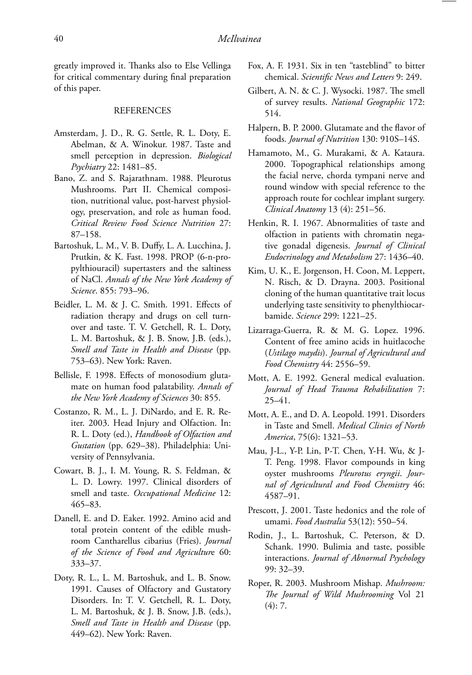greatly improved it. Thanks also to Else Vellinga for critical commentary during final preparation of this paper.

#### REFERENCES

- Amsterdam, J. D., R. G. Settle, R. L. Doty, E. Abelman, & A. Winokur. 1987. Taste and smell perception in depression. *Biological Psychiatry* 22: 1481–85.
- Bano, Z. and S. Rajarathnam. 1988. Pleurotus Mushrooms. Part II. Chemical composition, nutritional value, post-harvest physiology, preservation, and role as human food. *Critical Review Food Science Nutrition* 27: 87–158.
- Bartoshuk, L. M., V. B. Duffy, L. A. Lucchina, J. Prutkin, & K. Fast. 1998. PROP (6-n-propylthiouracil) supertasters and the saltiness of NaCl. *Annals of the New York Academy of Science*. 855: 793–96.
- Beidler, L. M. & J. C. Smith. 1991. Effects of radiation therapy and drugs on cell turnover and taste. T. V. Getchell, R. L. Doty, L. M. Bartoshuk, & J. B. Snow, J.B. (eds.), *Smell and Taste in Health and Disease* (pp. 753–63). New York: Raven.
- Bellisle, F. 1998. Effects of monosodium glutamate on human food palatability. *Annals of the New York Academy of Sciences* 30: 855.
- Costanzo, R. M., L. J. DiNardo, and E. R. Reiter. 2003. Head Injury and Olfaction. In: R. L. Doty (ed.), *Handbook of Olfaction and Gustation* (pp. 629–38). Philadelphia: University of Pennsylvania.
- Cowart, B. J., I. M. Young, R. S. Feldman, & L. D. Lowry. 1997. Clinical disorders of smell and taste. *Occupational Medicine* 12: 465–83.
- Danell, E. and D. Eaker. 1992. Amino acid and total protein content of the edible mushroom Cantharellus cibarius (Fries). *Journal of the Science of Food and Agricultur*e 60: 333–37.
- Doty, R. L., L. M. Bartoshuk, and L. B. Snow. 1991. Causes of Olfactory and Gustatory Disorders. In: T. V. Getchell, R. L. Doty, L. M. Bartoshuk, & J. B. Snow, J.B. (eds.), *Smell and Taste in Health and Disease* (pp. 449–62). New York: Raven.
- Fox, A. F. 1931. Six in ten "tasteblind" to bitter chemical. Scientific News and Letters 9: 249.
- Gilbert, A. N. & C. J. Wysocki. 1987. The smell of survey results. *National Geographic* 172: 514.
- Halpern, B. P. 2000. Glutamate and the flavor of foods. *Journal of Nutrition* 130: 910S–14S.
- Hamamoto, M., G. Murakami, & A. Kataura. 2000. Topographical relationships among the facial nerve, chorda tympani nerve and round window with special reference to the approach route for cochlear implant surgery. *Clinical Anatomy* 13 (4): 251–56.
- Henkin, R. I. 1967. Abnormalities of taste and olfaction in patients with chromatin negative gonadal digenesis. *Journal of Clinical Endocrinology and Metabolism* 27: 1436–40.
- Kim, U. K., E. Jorgenson, H. Coon, M. Leppert, N. Risch, & D. Drayna. 2003. Positional cloning of the human quantitative trait locus underlying taste sensitivity to phenylthiocarbamide. *Science* 299: 1221–25.
- Lizarraga-Guerra, R. & M. G. Lopez. 1996. Content of free amino acids in huitlacoche (*Ustilago maydis*). *Journal of Agricultural and Food Chemistry* 44: 2556–59.
- Mott, A. E. 1992. General medical evaluation. *Journal of Head Trauma Rehabilitation* 7: 25–41.
- Mott, A. E., and D. A. Leopold. 1991. Disorders in Taste and Smell. *Medical Clinics of North America*, 75(6): 1321–53.
- Mau, J-L., Y-P. Lin, P-T. Chen, Y-H. Wu, & J-T. Peng. 1998. Flavor compounds in king oyster mushrooms *Pleurotus eryngii*. *Journal of Agricultural and Food Chemistry* 46: 4587–91.
- Prescott, J. 2001. Taste hedonics and the role of umami. *Food Australia* 53(12): 550–54.
- Rodin, J., L. Bartoshuk, C. Peterson, & D. Schank. 1990. Bulimia and taste, possible interactions. *Journal of Abnormal Psychology*  99: 32–39.
- Roper, R. 2003. Mushroom Mishap. Mushroom: *Th e Journal of Wild Mushrooming* Vol 21  $(4): 7.$